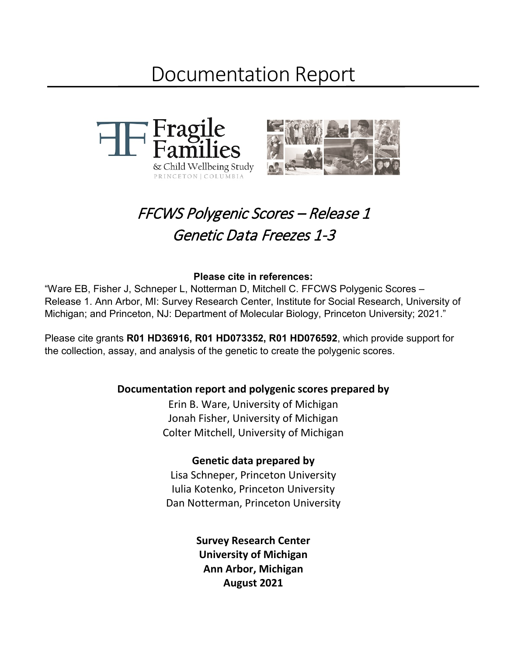# Documentation Report



# FFCWS Polygenic Scores – Release 1 Genetic Data Freezes 1-3

#### **Please cite in references:**

"Ware EB, Fisher J, Schneper L, Notterman D, Mitchell C. FFCWS Polygenic Scores – Release 1. Ann Arbor, MI: Survey Research Center, Institute for Social Research, University of Michigan; and Princeton, NJ: Department of Molecular Biology, Princeton University; 2021."

Please cite grants **R01 HD36916, R01 HD073352, R01 HD076592**, which provide support for the collection, assay, and analysis of the genetic to create the polygenic scores.

## **Documentation report and polygenic scores prepared by**

Erin B. Ware, University of Michigan Jonah Fisher, University of Michigan Colter Mitchell, University of Michigan

#### **Genetic data prepared by**

Lisa Schneper, Princeton University Iulia Kotenko, Princeton University Dan Notterman, Princeton University

> **Survey Research Center University of Michigan Ann Arbor, Michigan August 2021**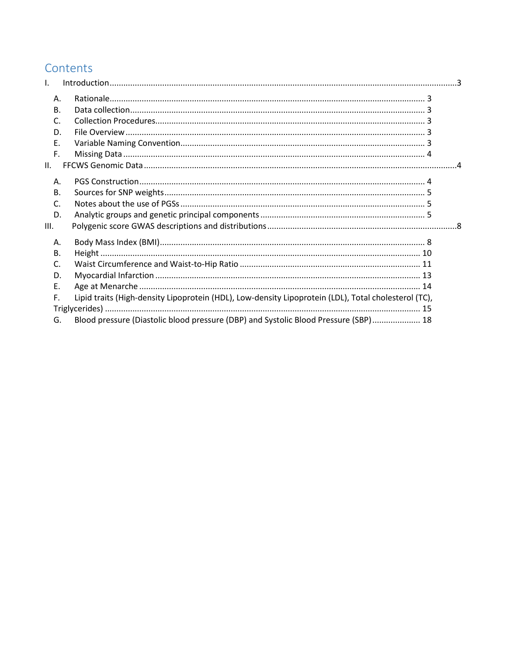# Contents

| L.  |              |                                                                                                      |  |
|-----|--------------|------------------------------------------------------------------------------------------------------|--|
|     | Α.           |                                                                                                      |  |
|     | <b>B.</b>    |                                                                                                      |  |
|     | $\mathsf{C}$ |                                                                                                      |  |
|     | D.           |                                                                                                      |  |
|     | E.           |                                                                                                      |  |
|     | F.           |                                                                                                      |  |
| II. |              |                                                                                                      |  |
|     | Α.           |                                                                                                      |  |
|     | <b>B.</b>    |                                                                                                      |  |
|     | $\mathsf{C}$ |                                                                                                      |  |
|     | D.           |                                                                                                      |  |
| Ш.  |              |                                                                                                      |  |
|     | Α.           |                                                                                                      |  |
|     | <b>B.</b>    |                                                                                                      |  |
|     | $\mathsf{C}$ |                                                                                                      |  |
|     | D.           |                                                                                                      |  |
|     | Ε.           |                                                                                                      |  |
|     | F.           | Lipid traits (High-density Lipoprotein (HDL), Low-density Lipoprotein (LDL), Total cholesterol (TC), |  |
|     |              |                                                                                                      |  |
|     | G.           | Blood pressure (Diastolic blood pressure (DBP) and Systolic Blood Pressure (SBP) 18                  |  |
|     |              |                                                                                                      |  |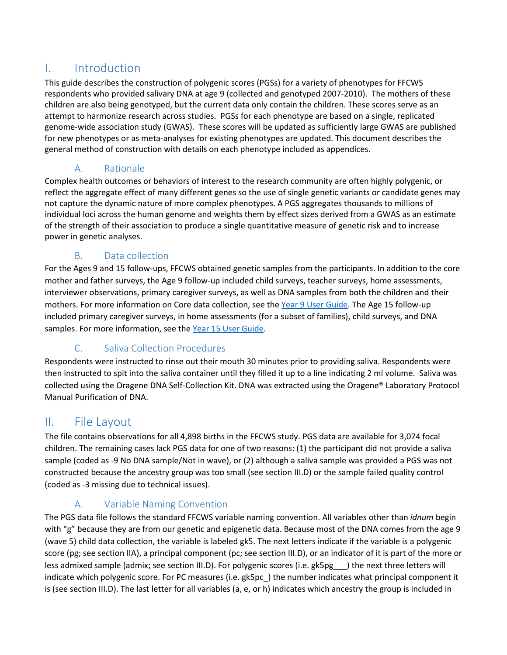## <span id="page-2-0"></span>I. Introduction

This guide describes the construction of polygenic scores (PGSs) for a variety of phenotypes for FFCWS respondents who provided salivary DNA at age 9 (collected and genotyped 2007-2010). The mothers of these children are also being genotyped, but the current data only contain the children. These scores serve as an attempt to harmonize research across studies. PGSs for each phenotype are based on a single, replicated genome-wide association study (GWAS). These scores will be updated as sufficiently large GWAS are published for new phenotypes or as meta-analyses for existing phenotypes are updated. This document describes the general method of construction with details on each phenotype included as appendices.

## A. Rationale

<span id="page-2-1"></span>Complex health outcomes or behaviors of interest to the research community are often highly polygenic, or reflect the aggregate effect of many different genes so the use of single genetic variants or candidate genes may not capture the dynamic nature of more complex phenotypes. A PGS aggregates thousands to millions of individual loci across the human genome and weights them by effect sizes derived from a GWAS as an estimate of the strength of their association to produce a single quantitative measure of genetic risk and to increase power in genetic analyses.

## B. Data collection

<span id="page-2-2"></span>For the Ages 9 and 15 follow-ups, FFCWS obtained genetic samples from the participants. In addition to the core mother and father surveys, the Age 9 follow-up included child surveys, teacher surveys, home assessments, interviewer observations, primary caregiver surveys, as well as DNA samples from both the children and their mothers. For more information on Core data collection, see the [Year 9 User Guide.](https://fragilefamilies.princeton.edu/sites/fragilefamilies/files/year_9_guide_0.pdf) The Age 15 follow-up included primary caregiver surveys, in home assessments (for a subset of families), child surveys, and DNA samples. For more information, see the [Year 15 User Guide.](https://fragilefamilies.princeton.edu/sites/fragilefamilies/files/year_15_guide.pdf)

## C. Saliva Collection Procedures

<span id="page-2-3"></span>Respondents were instructed to rinse out their mouth 30 minutes prior to providing saliva. Respondents were then instructed to spit into the saliva container until they filled it up to a line indicating 2 ml volume. Saliva was collected using the Oragene DNA Self-Collection Kit. DNA was extracted using the Oragene® Laboratory Protocol Manual Purification of DNA.

## <span id="page-2-4"></span>II. File Layout

The file contains observations for all 4,898 births in the FFCWS study. PGS data are available for 3,074 focal children. The remaining cases lack PGS data for one of two reasons: (1) the participant did not provide a saliva sample (coded as -9 No DNA sample/Not in wave), or (2) although a saliva sample was provided a PGS was not constructed because the ancestry group was too small (see section III.D) or the sample failed quality control (coded as -3 missing due to technical issues).

## A. Variable Naming Convention

<span id="page-2-5"></span>The PGS data file follows the standard FFCWS variable naming convention. All variables other than *idnum* begin with "g" because they are from our genetic and epigenetic data. Because most of the DNA comes from the age 9 (wave 5) child data collection, the variable is labeled gk5. The next letters indicate if the variable is a polygenic score (pg; see section IIA), a principal component (pc; see section III.D), or an indicator of it is part of the more or less admixed sample (admix; see section III.D). For polygenic scores (i.e. gk5pg ) the next three letters will indicate which polygenic score. For PC measures (i.e. gk5pc\_) the number indicates what principal component it is (see section III.D). The last letter for all variables (a, e, or h) indicates which ancestry the group is included in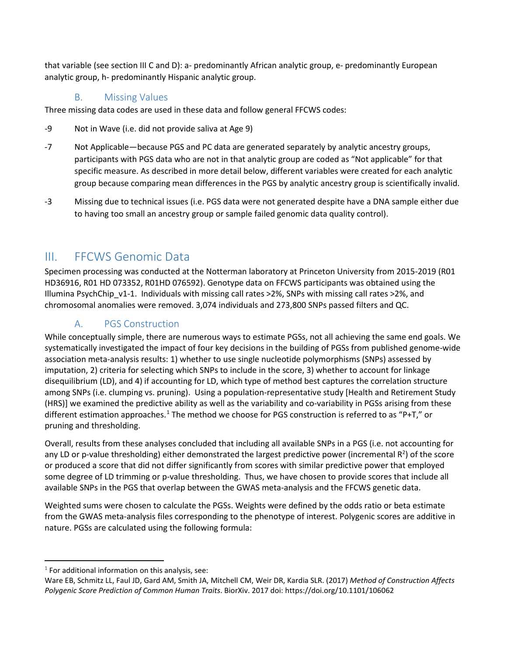that variable (see section III C and D): a- predominantly African analytic group, e- predominantly European analytic group, h- predominantly Hispanic analytic group.

## B. Missing Values

<span id="page-3-0"></span>Three missing data codes are used in these data and follow general FFCWS codes:

- -9 Not in Wave (i.e. did not provide saliva at Age 9)
- -7 Not Applicable—because PGS and PC data are generated separately by analytic ancestry groups, participants with PGS data who are not in that analytic group are coded as "Not applicable" for that specific measure. As described in more detail below, different variables were created for each analytic group because comparing mean differences in the PGS by analytic ancestry group is scientifically invalid.
- -3 Missing due to technical issues (i.e. PGS data were not generated despite have a DNA sample either due to having too small an ancestry group or sample failed genomic data quality control).

## <span id="page-3-1"></span>III. FFCWS Genomic Data

Specimen processing was conducted at the Notterman laboratory at Princeton University from 2015-2019 (R01 HD36916, R01 HD 073352, R01HD 076592). Genotype data on FFCWS participants was obtained using the Illumina PsychChip v1-1. Individuals with missing call rates >2%, SNPs with missing call rates >2%, and chromosomal anomalies were removed. 3,074 individuals and 273,800 SNPs passed filters and QC.

## A. PGS Construction

<span id="page-3-2"></span>While conceptually simple, there are numerous ways to estimate PGSs, not all achieving the same end goals. We systematically investigated the impact of four key decisions in the building of PGSs from published genome-wide association meta-analysis results: 1) whether to use single nucleotide polymorphisms (SNPs) assessed by imputation, 2) criteria for selecting which SNPs to include in the score, 3) whether to account for linkage disequilibrium (LD), and 4) if accounting for LD, which type of method best captures the correlation structure among SNPs (i.e. clumping vs. pruning). Using a population-representative study [Health and Retirement Study (HRS)] we examined the predictive ability as well as the variability and co-variability in PGSs arising from these different estimation approaches.<sup>[1](#page-3-3)</sup> The method we choose for PGS construction is referred to as "P+T," or pruning and thresholding.

Overall, results from these analyses concluded that including all available SNPs in a PGS (i.e. not accounting for any LD or p-value thresholding) either demonstrated the largest predictive power (incremental  $R^2$ ) of the score or produced a score that did not differ significantly from scores with similar predictive power that employed some degree of LD trimming or p-value thresholding. Thus, we have chosen to provide scores that include all available SNPs in the PGS that overlap between the GWAS meta-analysis and the FFCWS genetic data.

Weighted sums were chosen to calculate the PGSs. Weights were defined by the odds ratio or beta estimate from the GWAS meta-analysis files corresponding to the phenotype of interest. Polygenic scores are additive in nature. PGSs are calculated using the following formula:

l

<span id="page-3-3"></span> $1$  For additional information on this analysis, see:

Ware EB, Schmitz LL, Faul JD, Gard AM, Smith JA, Mitchell CM, Weir DR, Kardia SLR. (2017) *Method of Construction Affects Polygenic Score Prediction of Common Human Traits*. BiorXiv. 2017 doi: https://doi.org/10.1101/106062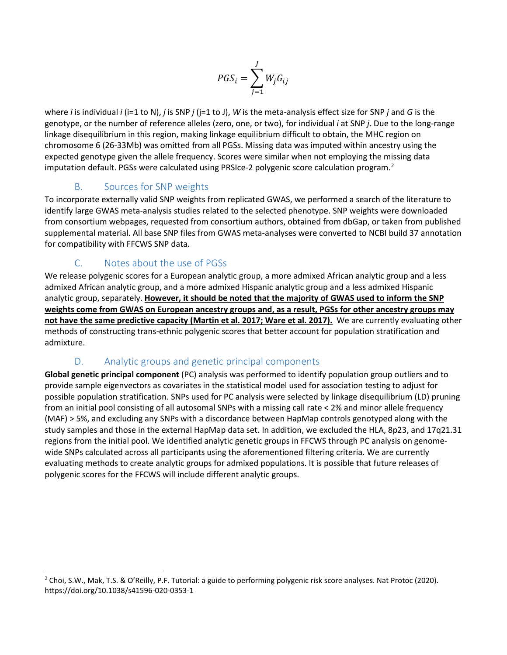$$
PGS_i = \sum_{j=1}^{J} W_j G_{ij}
$$

where *i* is individual *i* (i=1 to N), *j* is SNP *j* (j=1 to J), *W* is the meta-analysis effect size for SNP *j* and *G* is the genotype, or the number of reference alleles (zero, one, or two), for individual *i* at SNP *j*. Due to the long-range linkage disequilibrium in this region, making linkage equilibrium difficult to obtain, the MHC region on chromosome 6 (26-33Mb) was omitted from all PGSs. Missing data was imputed within ancestry using the expected genotype given the allele frequency. Scores were similar when not employing the missing data imputation default. PGSs were calculated using PRSIce-2 polygenic score calculation program. [2](#page-4-3)

## B. Sources for SNP weights

<span id="page-4-0"></span>To incorporate externally valid SNP weights from replicated GWAS, we performed a search of the literature to identify large GWAS meta-analysis studies related to the selected phenotype. SNP weights were downloaded from consortium webpages, requested from consortium authors, obtained from dbGap, or taken from published supplemental material. All base SNP files from GWAS meta-analyses were converted to NCBI build 37 annotation for compatibility with FFCWS SNP data.

## C. Notes about the use of PGSs

 $\overline{a}$ 

<span id="page-4-1"></span>We release polygenic scores for a European analytic group, a more admixed African analytic group and a less admixed African analytic group, and a more admixed Hispanic analytic group and a less admixed Hispanic analytic group, separately. **However, it should be noted that the majority of GWAS used to inform the SNP weights come from GWAS on European ancestry groups and, as a result, PGSs for other ancestry groups may not have the same predictive capacity (Martin et al. 2017; Ware et al. 2017).** We are currently evaluating other methods of constructing trans-ethnic polygenic scores that better account for population stratification and admixture.

#### D. Analytic groups and genetic principal components

<span id="page-4-2"></span>**Global genetic principal component** (PC) analysis was performed to identify population group outliers and to provide sample eigenvectors as covariates in the statistical model used for association testing to adjust for possible population stratification. SNPs used for PC analysis were selected by linkage disequilibrium (LD) pruning from an initial pool consisting of all autosomal SNPs with a missing call rate < 2% and minor allele frequency (MAF) > 5%, and excluding any SNPs with a discordance between HapMap controls genotyped along with the study samples and those in the external HapMap data set. In addition, we excluded the HLA, 8p23, and 17q21.31 regions from the initial pool. We identified analytic genetic groups in FFCWS through PC analysis on genomewide SNPs calculated across all participants using the aforementioned filtering criteria. We are currently evaluating methods to create analytic groups for admixed populations. It is possible that future releases of polygenic scores for the FFCWS will include different analytic groups.

<span id="page-4-3"></span> $2$  Choi, S.W., Mak, T.S. & O'Reilly, P.F. Tutorial: a guide to performing polygenic risk score analyses. Nat Protoc (2020). https://doi.org/10.1038/s41596-020-0353-1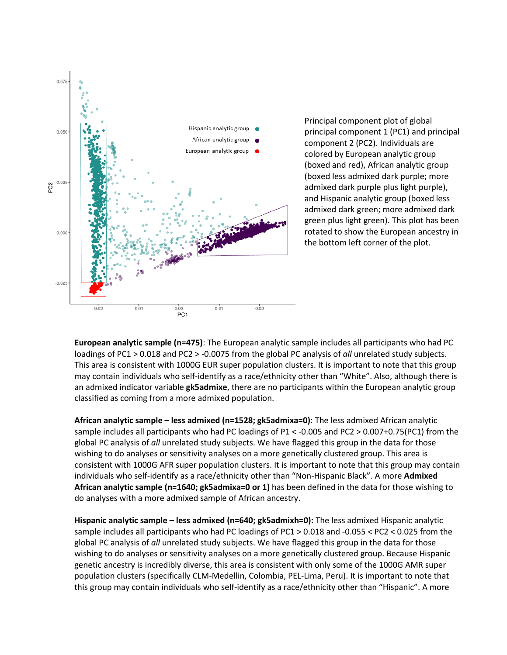

Principal component plot of global principal component 1 (PC1) and principal component 2 (PC2). Individuals are colored by European analytic group (boxed and red), African analytic group (boxed less admixed dark purple; more admixed dark purple plus light purple), and Hispanic analytic group (boxed less admixed dark green; more admixed dark green plus light green). This plot has been rotated to show the European ancestry in the bottom left corner of the plot.

**European analytic sample (n=475)**: The European analytic sample includes all participants who had PC loadings of PC1 > 0.018 and PC2 > -0.0075 from the global PC analysis of *all* unrelated study subjects. This area is consistent with 1000G EUR super population clusters. It is important to note that this group may contain individuals who self-identify as a race/ethnicity other than "White". Also, although there is an admixed indicator variable **gk5admixe**, there are no participants within the European analytic group classified as coming from a more admixed population.

**African analytic sample – less admixed (n=1528; gk5admixa=0)**: The less admixed African analytic sample includes all participants who had PC loadings of P1 < -0.005 and PC2 > 0.007+0.75(PC1) from the global PC analysis of *all* unrelated study subjects. We have flagged this group in the data for those wishing to do analyses or sensitivity analyses on a more genetically clustered group. This area is consistent with 1000G AFR super population clusters. It is important to note that this group may contain individuals who self-identify as a race/ethnicity other than "Non-Hispanic Black". A more **Admixed African analytic sample (n=1640; gk5admixa=0 or 1)** has been defined in the data for those wishing to do analyses with a more admixed sample of African ancestry.

**Hispanic analytic sample – less admixed (n=640; gk5admixh=0):** The less admixed Hispanic analytic sample includes all participants who had PC loadings of PC1 > 0.018 and -0.055 < PC2 < 0.025 from the global PC analysis of *all* unrelated study subjects. We have flagged this group in the data for those wishing to do analyses or sensitivity analyses on a more genetically clustered group. Because Hispanic genetic ancestry is incredibly diverse, this area is consistent with only some of the 1000G AMR super population clusters (specifically CLM-Medellin, Colombia, PEL-Lima, Peru). It is important to note that this group may contain individuals who self-identify as a race/ethnicity other than "Hispanic". A more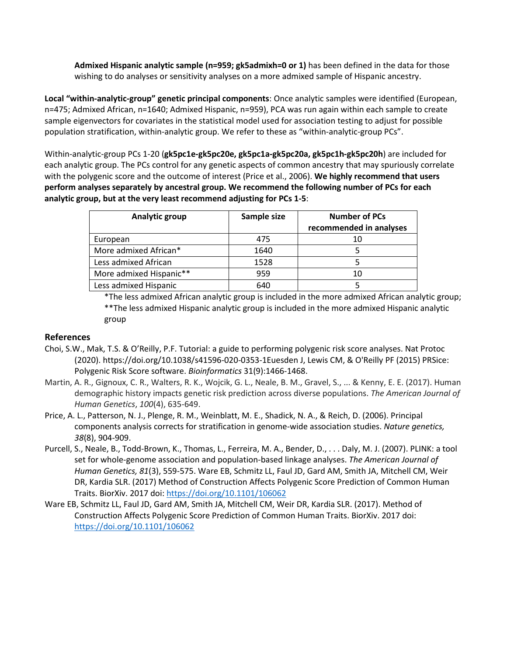**Admixed Hispanic analytic sample (n=959; gk5admixh=0 or 1)** has been defined in the data for those wishing to do analyses or sensitivity analyses on a more admixed sample of Hispanic ancestry.

**Local "within-analytic-group" genetic principal components**: Once analytic samples were identified (European, n=475; Admixed African, n=1640; Admixed Hispanic, n=959), PCA was run again within each sample to create sample eigenvectors for covariates in the statistical model used for association testing to adjust for possible population stratification, within-analytic group. We refer to these as "within-analytic-group PCs".

Within-analytic-group PCs 1-20 (**gk5pc1e-gk5pc20e, gk5pc1a-gk5pc20a, gk5pc1h-gk5pc20h**) are included for each analytic group. The PCs control for any genetic aspects of common ancestry that may spuriously correlate with the polygenic score and the outcome of interest (Price et al., 2006). **We highly recommend that users perform analyses separately by ancestral group. We recommend the following number of PCs for each analytic group, but at the very least recommend adjusting for PCs 1-5**:

| Analytic group          | Sample size | <b>Number of PCs</b><br>recommended in analyses |
|-------------------------|-------------|-------------------------------------------------|
| European                | 475         | 10                                              |
| More admixed African*   | 1640        |                                                 |
| Less admixed African    | 1528        |                                                 |
| More admixed Hispanic** | 959         | 10                                              |
| Less admixed Hispanic   | 640         |                                                 |

\*The less admixed African analytic group is included in the more admixed African analytic group; \*\*The less admixed Hispanic analytic group is included in the more admixed Hispanic analytic group

#### **References**

- Choi, S.W., Mak, T.S. & O'Reilly, P.F. Tutorial: a guide to performing polygenic risk score analyses. Nat Protoc (2020). https://doi.org/10.1038/s41596-020-0353-1Euesden J, Lewis CM, & O'Reilly PF (2015) PRSice: Polygenic Risk Score software. *Bioinformatics* 31(9):1466-1468.
- Martin, A. R., Gignoux, C. R., Walters, R. K., Wojcik, G. L., Neale, B. M., Gravel, S., ... & Kenny, E. E. (2017). Human demographic history impacts genetic risk prediction across diverse populations. *The American Journal of Human Genetics*, *100*(4), 635-649.
- Price, A. L., Patterson, N. J., Plenge, R. M., Weinblatt, M. E., Shadick, N. A., & Reich, D. (2006). Principal components analysis corrects for stratification in genome-wide association studies. *Nature genetics, 38*(8), 904-909.
- Purcell, S., Neale, B., Todd-Brown, K., Thomas, L., Ferreira, M. A., Bender, D., . . . Daly, M. J. (2007). PLINK: a tool set for whole-genome association and population-based linkage analyses. *The American Journal of Human Genetics, 81*(3), 559-575. Ware EB, Schmitz LL, Faul JD, Gard AM, Smith JA, Mitchell CM, Weir DR, Kardia SLR. (2017) Method of Construction Affects Polygenic Score Prediction of Common Human Traits. BiorXiv. 2017 doi:<https://doi.org/10.1101/106062>
- Ware EB, Schmitz LL, Faul JD, Gard AM, Smith JA, Mitchell CM, Weir DR, Kardia SLR. (2017). Method of Construction Affects Polygenic Score Prediction of Common Human Traits. BiorXiv. 2017 doi: <https://doi.org/10.1101/106062>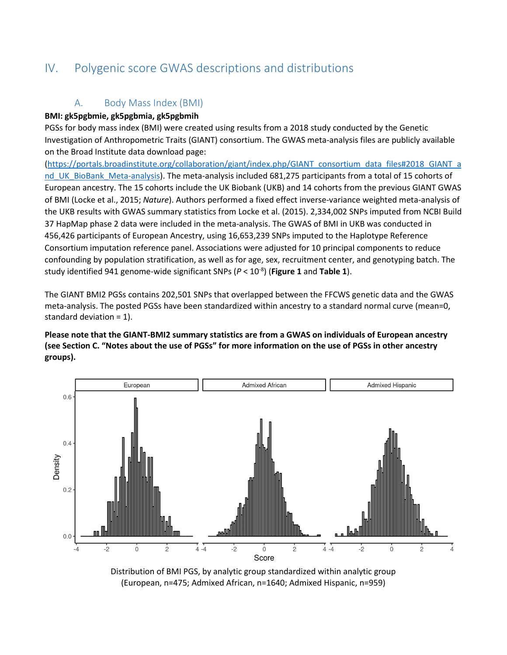# <span id="page-7-0"></span>IV. Polygenic score GWAS descriptions and distributions

## A. Body Mass Index (BMI)

#### <span id="page-7-1"></span>**BMI: gk5pgbmie, gk5pgbmia, gk5pgbmih**

PGSs for body mass index (BMI) were created using results from a 2018 study conducted by the Genetic Investigation of Anthropometric Traits (GIANT) consortium. The GWAS meta-analysis files are publicly available on the Broad Institute data download page:

[\(https://portals.broadinstitute.org/collaboration/giant/index.php/GIANT\\_consortium\\_data\\_files#2018\\_GIANT\\_a](https://portals.broadinstitute.org/collaboration/giant/index.php/GIANT_consortium_data_files#2018_GIANT_and_UK_BioBank_Meta-analysis) nd UK\_BioBank\_Meta-analysis). The meta-analysis included 681,275 participants from a total of 15 cohorts of European ancestry. The 15 cohorts include the UK Biobank (UKB) and 14 cohorts from the previous GIANT GWAS of BMI (Locke et al., 2015; *Nature*). Authors performed a fixed effect inverse-variance weighted meta-analysis of the UKB results with GWAS summary statistics from Locke et al. (2015). 2,334,002 SNPs imputed from NCBI Build 37 HapMap phase 2 data were included in the meta-analysis. The GWAS of BMI in UKB was conducted in 456,426 participants of European Ancestry, using 16,653,239 SNPs imputed to the Haplotype Reference Consortium imputation reference panel. Associations were adjusted for 10 principal components to reduce confounding by population stratification, as well as for age, sex, recruitment center, and genotyping batch. The study identified 941 genome-wide significant SNPs (*P* < 10-8) (**Figure 1** and **Table 1**).

The GIANT BMI2 PGSs contains 202,501 SNPs that overlapped between the FFCWS genetic data and the GWAS meta-analysis. The posted PGSs have been standardized within ancestry to a standard normal curve (mean=0, standard deviation = 1).

**Please note that the GIANT-BMI2 summary statistics are from a GWAS on individuals of European ancestry (see Section C. "Notes about the use of PGSs" for more information on the use of PGSs in other ancestry groups).**



Distribution of BMI PGS, by analytic group standardized within analytic group (European, n=475; Admixed African, n=1640; Admixed Hispanic, n=959)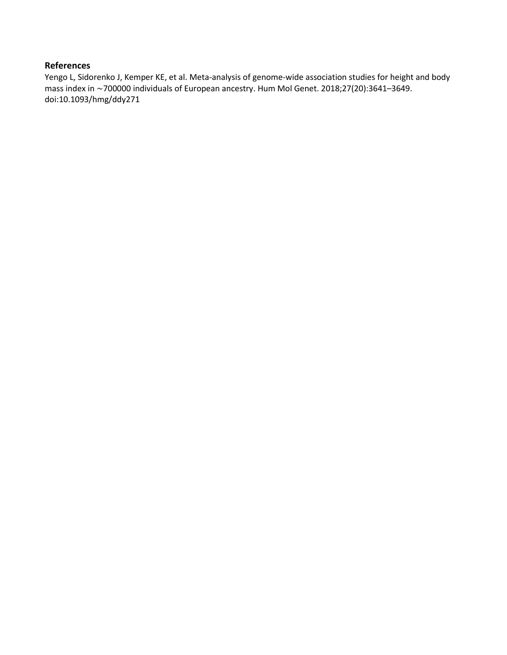Yengo L, Sidorenko J, Kemper KE, et al. Meta-analysis of genome-wide association studies for height and body mass index in ∼700000 individuals of European ancestry. Hum Mol Genet. 2018;27(20):3641–3649. doi:10.1093/hmg/ddy271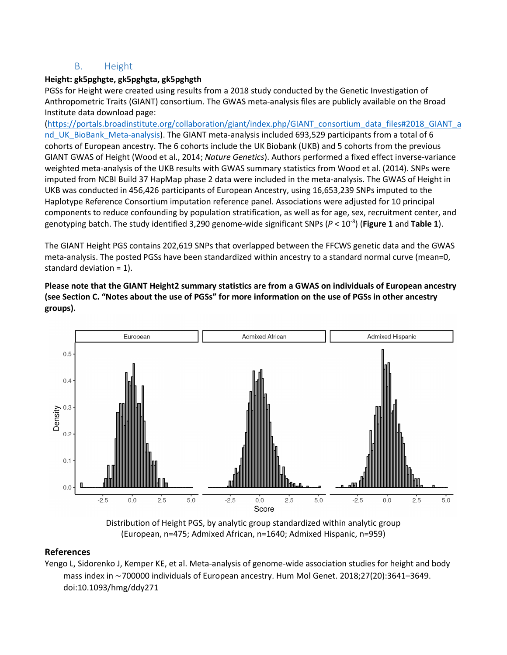#### B. Height

#### <span id="page-9-0"></span>**Height: gk5pghgte, gk5pghgta, gk5pghgth**

PGSs for Height were created using results from a 2018 study conducted by the Genetic Investigation of Anthropometric Traits (GIANT) consortium. The GWAS meta-analysis files are publicly available on the Broad Institute data download page:

[\(https://portals.broadinstitute.org/collaboration/giant/index.php/GIANT\\_consortium\\_data\\_files#2018\\_GIANT\\_a](https://portals.broadinstitute.org/collaboration/giant/index.php/GIANT_consortium_data_files#2018_GIANT_and_UK_BioBank_Meta-analysis) [nd\\_UK\\_BioBank\\_Meta-analysis\)](https://portals.broadinstitute.org/collaboration/giant/index.php/GIANT_consortium_data_files#2018_GIANT_and_UK_BioBank_Meta-analysis). The GIANT meta-analysis included 693,529 participants from a total of 6 cohorts of European ancestry. The 6 cohorts include the UK Biobank (UKB) and 5 cohorts from the previous GIANT GWAS of Height (Wood et al., 2014; *Nature Genetics*). Authors performed a fixed effect inverse-variance weighted meta-analysis of the UKB results with GWAS summary statistics from Wood et al. (2014). SNPs were imputed from NCBI Build 37 HapMap phase 2 data were included in the meta-analysis. The GWAS of Height in UKB was conducted in 456,426 participants of European Ancestry, using 16,653,239 SNPs imputed to the Haplotype Reference Consortium imputation reference panel. Associations were adjusted for 10 principal components to reduce confounding by population stratification, as well as for age, sex, recruitment center, and genotyping batch. The study identified 3,290 genome-wide significant SNPs (*P* < 10-8) (**Figure 1** and **Table 1**).

The GIANT Height PGS contains 202,619 SNPs that overlapped between the FFCWS genetic data and the GWAS meta-analysis. The posted PGSs have been standardized within ancestry to a standard normal curve (mean=0, standard deviation = 1).

**Please note that the GIANT Height2 summary statistics are from a GWAS on individuals of European ancestry (see Section C. "Notes about the use of PGSs" for more information on the use of PGSs in other ancestry groups).**



Distribution of Height PGS, by analytic group standardized within analytic group (European, n=475; Admixed African, n=1640; Admixed Hispanic, n=959)

#### **References**

Yengo L, Sidorenko J, Kemper KE, et al. Meta-analysis of genome-wide association studies for height and body mass index in ∼700000 individuals of European ancestry. Hum Mol Genet. 2018;27(20):3641–3649. doi:10.1093/hmg/ddy271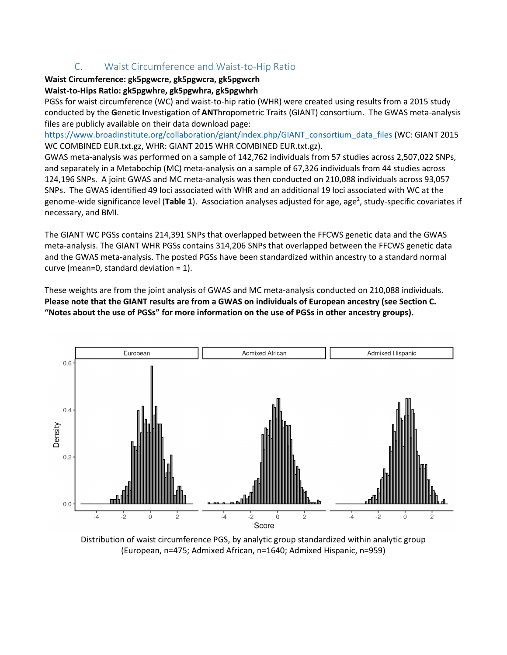## C. Waist Circumference and Waist-to-Hip Ratio

## <span id="page-10-0"></span>**Waist Circumference: gk5pgwcre, gk5pgwcra, gk5pgwcrh**

#### **Waist-to-Hips Ratio: gk5pgwhre, gk5pgwhra, gk5pgwhrh**

PGSs for waist circumference (WC) and waist-to-hip ratio (WHR) were created using results from a 2015 study conducted by the **G**enetic **I**nvestigation of **ANT**hropometric Traits (GIANT) consortium. The GWAS meta-analysis files are publicly available on their data download page:

[https://www.broadinstitute.org/collaboration/giant/index.php/GIANT\\_consortium\\_data\\_files](https://www.broadinstitute.org/collaboration/giant/index.php/GIANT_consortium_data_files) (WC: GIANT 2015 WC COMBINED EUR.txt.gz, WHR: GIANT 2015 WHR COMBINED EUR.txt.gz).

GWAS meta-analysis was performed on a sample of 142,762 individuals from 57 studies across 2,507,022 SNPs, and separately in a Metabochip (MC) meta-analysis on a sample of 67,326 individuals from 44 studies across 124,196 SNPs. A joint GWAS and MC meta-analysis was then conducted on 210,088 individuals across 93,057 SNPs. The GWAS identified 49 loci associated with WHR and an additional 19 loci associated with WC at the genome-wide significance level (Table 1). Association analyses adjusted for age, age<sup>2</sup>, study-specific covariates if necessary, and BMI.

The GIANT WC PGSs contains 214,391 SNPs that overlapped between the FFCWS genetic data and the GWAS meta-analysis. The GIANT WHR PGSs contains 314,206 SNPs that overlapped between the FFCWS genetic data and the GWAS meta-analysis. The posted PGSs have been standardized within ancestry to a standard normal curve (mean=0, standard deviation = 1).

These weights are from the joint analysis of GWAS and MC meta-analysis conducted on 210,088 individuals. **Please note that the GIANT results are from a GWAS on individuals of European ancestry (see Section C. "Notes about the use of PGSs" for more information on the use of PGSs in other ancestry groups).** 



Distribution of waist circumference PGS, by analytic group standardized within analytic group (European, n=475; Admixed African, n=1640; Admixed Hispanic, n=959)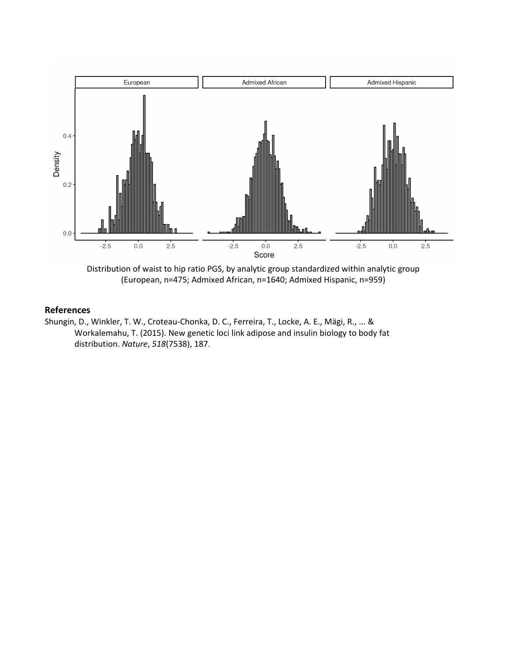

Distribution of waist to hip ratio PGS, by analytic group standardized within analytic group (European, n=475; Admixed African, n=1640; Admixed Hispanic, n=959)

Shungin, D., Winkler, T. W., Croteau-Chonka, D. C., Ferreira, T., Locke, A. E., Mägi, R., ... & Workalemahu, T. (2015). New genetic loci link adipose and insulin biology to body fat distribution. *Nature*, *518*(7538), 187.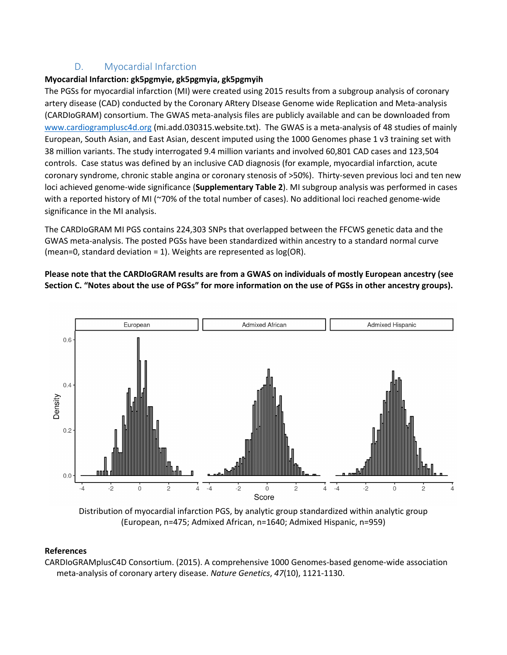## D. Myocardial Infarction

#### <span id="page-12-0"></span>**Myocardial Infarction: gk5pgmyie, gk5pgmyia, gk5pgmyih**

The PGSs for myocardial infarction (MI) were created using 2015 results from a subgroup analysis of coronary artery disease (CAD) conducted by the Coronary ARtery DIsease Genome wide Replication and Meta-analysis (CARDIoGRAM) consortium. The GWAS meta-analysis files are publicly available and can be downloaded from [www.cardiogramplusc4d.org \(](http://www.cardiogramplusc4d.org/)mi.add.030315.website.txt). The GWAS is a meta-analysis of 48 studies of mainly European, South Asian, and East Asian, descent imputed using the 1000 Genomes phase 1 v3 training set with 38 million variants. The study interrogated 9.4 million variants and involved 60,801 CAD cases and 123,504 controls. Case status was defined by an inclusive CAD diagnosis (for example, myocardial infarction, acute coronary syndrome, chronic stable angina or coronary stenosis of >50%). Thirty-seven previous loci and ten new loci achieved genome-wide significance (**Supplementary Table 2**). MI subgroup analysis was performed in cases with a reported history of MI (~70% of the total number of cases). No additional loci reached genome-wide significance in the MI analysis.

The CARDIoGRAM MI PGS contains 224,303 SNPs that overlapped between the FFCWS genetic data and the GWAS meta-analysis. The posted PGSs have been standardized within ancestry to a standard normal curve (mean=0, standard deviation = 1). Weights are represented as log(OR).

#### **Please note that the CARDIoGRAM results are from a GWAS on individuals of mostly European ancestry (see Section C. "Notes about the use of PGSs" for more information on the use of PGSs in other ancestry groups).**



Distribution of myocardial infarction PGS, by analytic group standardized within analytic group (European, n=475; Admixed African, n=1640; Admixed Hispanic, n=959)

#### **References**

CARDIoGRAMplusC4D Consortium. (2015). A comprehensive 1000 Genomes-based genome-wide association meta-analysis of coronary artery disease. *Nature Genetics*, *47*(10), 1121-1130.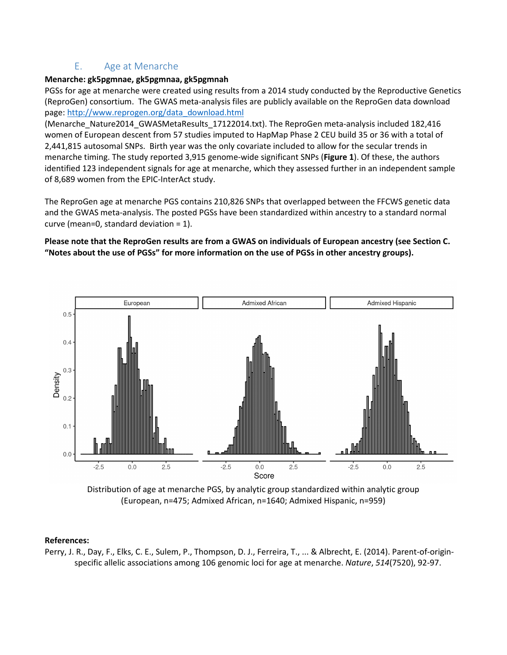#### E. Age at Menarche

#### <span id="page-13-0"></span>**Menarche: gk5pgmnae, gk5pgmnaa, gk5pgmnah**

PGSs for age at menarche were created using results from a 2014 study conducted by the Reproductive Genetics (ReproGen) consortium. The GWAS meta-analysis files are publicly available on the ReproGen data download page: [http://www.reprogen.org/data\\_download.html](http://www.reprogen.org/data_download.html)

(Menarche\_Nature2014\_GWASMetaResults\_17122014.txt). The ReproGen meta-analysis included 182,416 women of European descent from 57 studies imputed to HapMap Phase 2 CEU build 35 or 36 with a total of 2,441,815 autosomal SNPs. Birth year was the only covariate included to allow for the secular trends in menarche timing. The study reported 3,915 genome-wide significant SNPs (**Figure 1**). Of these, the authors identified 123 independent signals for age at menarche, which they assessed further in an independent sample of 8,689 women from the EPIC-InterAct study.

The ReproGen age at menarche PGS contains 210,826 SNPs that overlapped between the FFCWS genetic data and the GWAS meta-analysis. The posted PGSs have been standardized within ancestry to a standard normal curve (mean=0, standard deviation = 1).

#### **Please note that the ReproGen results are from a GWAS on individuals of European ancestry (see Section C. "Notes about the use of PGSs" for more information on the use of PGSs in other ancestry groups).**



Distribution of age at menarche PGS, by analytic group standardized within analytic group (European, n=475; Admixed African, n=1640; Admixed Hispanic, n=959)

#### **References:**

Perry, J. R., Day, F., Elks, C. E., Sulem, P., Thompson, D. J., Ferreira, T., ... & Albrecht, E. (2014). Parent-of-originspecific allelic associations among 106 genomic loci for age at menarche. *Nature*, *514*(7520), 92-97.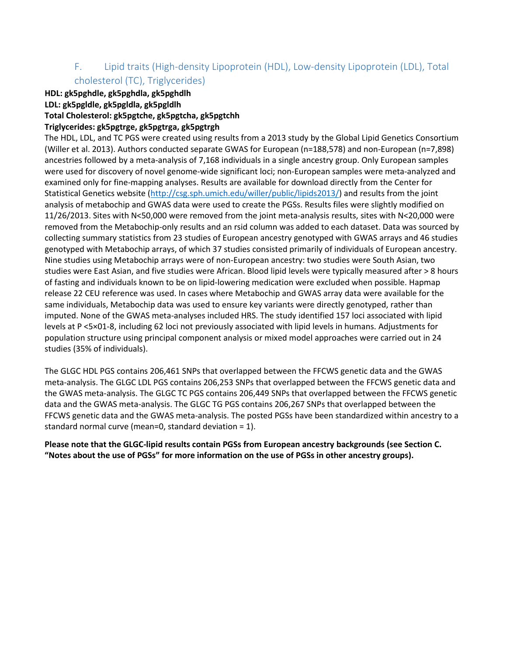## <span id="page-14-0"></span>F. Lipid traits (High-density Lipoprotein (HDL), Low-density Lipoprotein (LDL), Total cholesterol (TC), Triglycerides)

#### **HDL: gk5pghdle, gk5pghdla, gk5pghdlh LDL: gk5pgldle, gk5pgldla, gk5pgldlh Total Cholesterol: gk5pgtche, gk5pgtcha, gk5pgtchh**

#### **Triglycerides: gk5pgtrge, gk5pgtrga, gk5pgtrgh**

The HDL, LDL, and TC PGS were created using results from a 2013 study by the Global Lipid Genetics Consortium (Willer et al. 2013). Authors conducted separate GWAS for European (n=188,578) and non-European (n=7,898) ancestries followed by a meta-analysis of 7,168 individuals in a single ancestry group. Only European samples were used for discovery of novel genome-wide significant loci; non-European samples were meta-analyzed and examined only for fine-mapping analyses. Results are available for download directly from the Center for Statistical Genetics website [\(http://csg.sph.umich.edu/willer/public/lipids2013/\)](http://csg.sph.umich.edu/willer/public/lipids2013/) and results from the joint analysis of metabochip and GWAS data were used to create the PGSs. Results files were slightly modified on 11/26/2013. Sites with N<50,000 were removed from the joint meta-analysis results, sites with N<20,000 were removed from the Metabochip-only results and an rsid column was added to each dataset. Data was sourced by collecting summary statistics from 23 studies of European ancestry genotyped with GWAS arrays and 46 studies genotyped with Metabochip arrays, of which 37 studies consisted primarily of individuals of European ancestry. Nine studies using Metabochip arrays were of non-European ancestry: two studies were South Asian, two studies were East Asian, and five studies were African. Blood lipid levels were typically measured after > 8 hours of fasting and individuals known to be on lipid-lowering medication were excluded when possible. Hapmap release 22 CEU reference was used. In cases where Metabochip and GWAS array data were available for the same individuals, Metabochip data was used to ensure key variants were directly genotyped, rather than imputed. None of the GWAS meta-analyses included HRS. The study identified 157 loci associated with lipid levels at P <5×01-8, including 62 loci not previously associated with lipid levels in humans. Adjustments for population structure using principal component analysis or mixed model approaches were carried out in 24 studies (35% of individuals).

The GLGC HDL PGS contains 206,461 SNPs that overlapped between the FFCWS genetic data and the GWAS meta-analysis. The GLGC LDL PGS contains 206,253 SNPs that overlapped between the FFCWS genetic data and the GWAS meta-analysis. The GLGC TC PGS contains 206,449 SNPs that overlapped between the FFCWS genetic data and the GWAS meta-analysis. The GLGC TG PGS contains 206,267 SNPs that overlapped between the FFCWS genetic data and the GWAS meta-analysis. The posted PGSs have been standardized within ancestry to a standard normal curve (mean=0, standard deviation = 1).

**Please note that the GLGC-lipid results contain PGSs from European ancestry backgrounds (see Section C. "Notes about the use of PGSs" for more information on the use of PGSs in other ancestry groups).**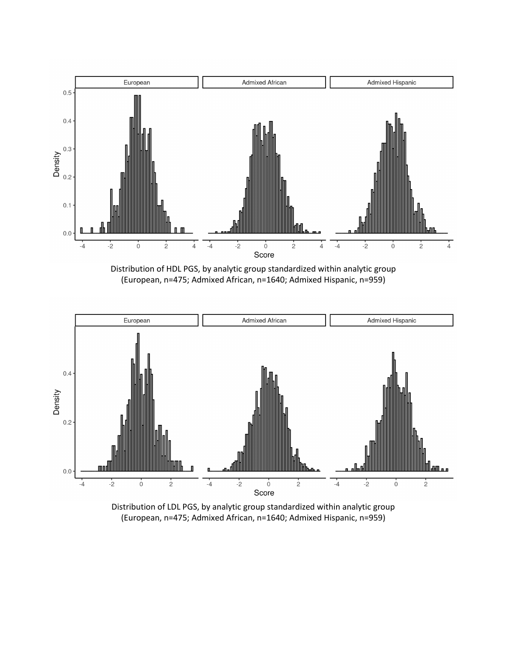

Distribution of HDL PGS, by analytic group standardized within analytic group (European, n=475; Admixed African, n=1640; Admixed Hispanic, n=959)



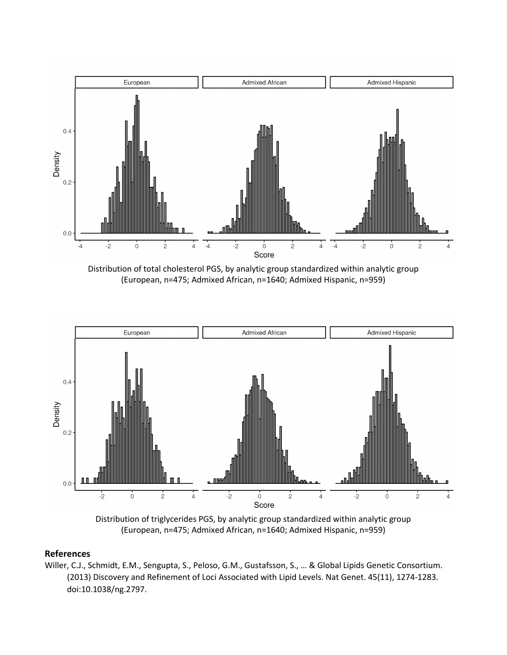

Distribution of total cholesterol PGS, by analytic group standardized within analytic group (European, n=475; Admixed African, n=1640; Admixed Hispanic, n=959)



Distribution of triglycerides PGS, by analytic group standardized within analytic group (European, n=475; Admixed African, n=1640; Admixed Hispanic, n=959)

Willer, C.J., Schmidt, E.M., Sengupta, S., Peloso, G.M., Gustafsson, S., … & Global Lipids Genetic Consortium. (2013) Discovery and Refinement of Loci Associated with Lipid Levels. Nat Genet. 45(11), 1274-1283. doi:10.1038/ng.2797.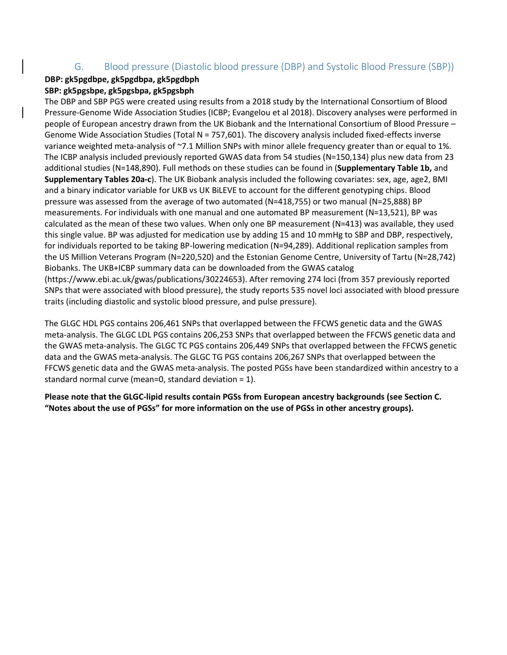## G. Blood pressure (Diastolic blood pressure (DBP) and Systolic Blood Pressure (SBP))

#### <span id="page-17-0"></span>**DBP: gk5pgdbpe, gk5pgdbpa, gk5pgdbph SBP: gk5pgsbpe, gk5pgsbpa, gk5pgsbph**

The DBP and SBP PGS were created using results from a 2018 study by the International Consortium of Blood Pressure-Genome Wide Association Studies (ICBP; Evangelou et al 2018). Discovery analyses were performed in people of European ancestry drawn from the UK Biobank and the International Consortium of Blood Pressure – Genome Wide Association Studies (Total  $N = 757,601$ ). The discovery analysis included fixed-effects inverse variance weighted meta-analysis of ~7.1 Million SNPs with minor allele frequency greater than or equal to 1%. The ICBP analysis included previously reported GWAS data from 54 studies (N=150,134) plus new data from 23 additional studies (N=148,890). Full methods on these studies can be found in (**Supplementary Table 1b,** and **Supplementary Tables 20a-c**). The UK Biobank analysis included the following covariates: sex, age, age2, BMI and a binary indicator variable for UKB vs UK BiLEVE to account for the different genotyping chips. Blood pressure was assessed from the average of two automated (N=418,755) or two manual (N=25,888) BP measurements. For individuals with one manual and one automated BP measurement (N=13,521), BP was calculated as the mean of these two values. When only one BP measurement (N=413) was available, they used this single value. BP was adjusted for medication use by adding 15 and 10 mmHg to SBP and DBP, respectively, for individuals reported to be taking BP-lowering medication (N=94,289). Additional replication samples from the US Million Veterans Program (N=220,520) and the Estonian Genome Centre, University of Tartu (N=28,742) Biobanks. The UKB+ICBP summary data can be downloaded from the GWAS catalog (https://www.ebi.ac.uk/gwas/publications/30224653). After removing 274 loci (from 357 previously reported SNPs that were associated with blood pressure), the study reports 535 novel loci associated with blood pressure traits (including diastolic and systolic blood pressure, and pulse pressure).

The GLGC HDL PGS contains 206,461 SNPs that overlapped between the FFCWS genetic data and the GWAS meta-analysis. The GLGC LDL PGS contains 206,253 SNPs that overlapped between the FFCWS genetic data and the GWAS meta-analysis. The GLGC TC PGS contains 206,449 SNPs that overlapped between the FFCWS genetic data and the GWAS meta-analysis. The GLGC TG PGS contains 206,267 SNPs that overlapped between the FFCWS genetic data and the GWAS meta-analysis. The posted PGSs have been standardized within ancestry to a standard normal curve (mean=0, standard deviation = 1).

**Please note that the GLGC-lipid results contain PGSs from European ancestry backgrounds (see Section C. "Notes about the use of PGSs" for more information on the use of PGSs in other ancestry groups).**